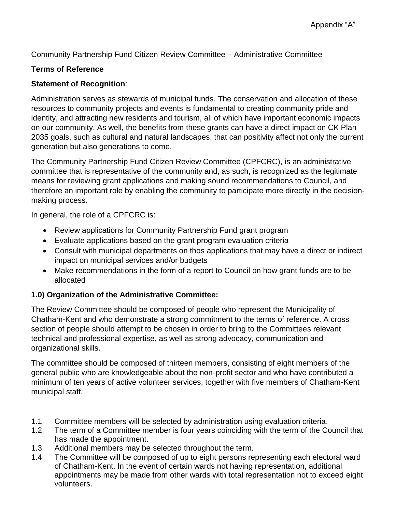Community Partnership Fund Citizen Review Committee – Administrative Committee

#### **Terms of Reference**

#### **Statement of Recognition**:

Administration serves as stewards of municipal funds. The conservation and allocation of these resources to community projects and events is fundamental to creating community pride and identity, and attracting new residents and tourism, all of which have important economic impacts on our community. As well, the benefits from these grants can have a direct impact on CK Plan 2035 goals, such as cultural and natural landscapes, that can positivity affect not only the current generation but also generations to come.

The Community Partnership Fund Citizen Review Committee (CPFCRC), is an administrative committee that is representative of the community and, as such, is recognized as the legitimate means for reviewing grant applications and making sound recommendations to Council, and therefore an important role by enabling the community to participate more directly in the decisionmaking process.

In general, the role of a CPFCRC is:

- Review applications for Community Partnership Fund grant program
- Evaluate applications based on the grant program evaluation criteria
- Consult with municipal departments on thos applications that may have a direct or indirect impact on municipal services and/or budgets
- Make recommendations in the form of a report to Council on how grant funds are to be allocated

### **1.0) Organization of the Administrative Committee:**

The Review Committee should be composed of people who represent the Municipality of Chatham-Kent and who demonstrate a strong commitment to the terms of reference. A cross section of people should attempt to be chosen in order to bring to the Committees relevant technical and professional expertise, as well as strong advocacy, communication and organizational skills.

The committee should be composed of thirteen members, consisting of eight members of the general public who are knowledgeable about the non-profit sector and who have contributed a minimum of ten years of active volunteer services, together with five members of Chatham-Kent municipal staff.

- 1.1 Committee members will be selected by administration using evaluation criteria.
- 1.2 The term of a Committee member is four years coinciding with the term of the Council that has made the appointment.
- 1.3 Additional members may be selected throughout the term.
- 1.4 The Committee will be composed of up to eight persons representing each electoral ward of Chatham-Kent. In the event of certain wards not having representation, additional appointments may be made from other wards with total representation not to exceed eight volunteers.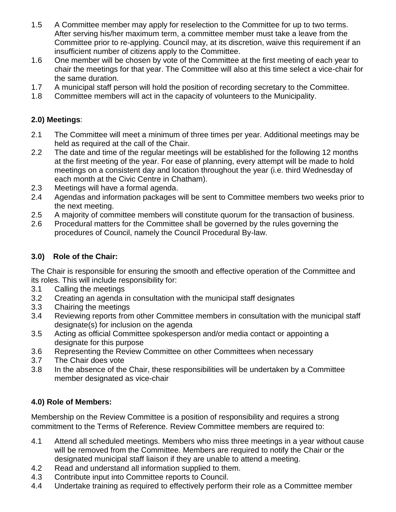- 1.5 A Committee member may apply for reselection to the Committee for up to two terms. After serving his/her maximum term, a committee member must take a leave from the Committee prior to re-applying. Council may, at its discretion, waive this requirement if an insufficient number of citizens apply to the Committee.
- 1.6 One member will be chosen by vote of the Committee at the first meeting of each year to chair the meetings for that year. The Committee will also at this time select a vice-chair for the same duration.
- 1.7 A municipal staff person will hold the position of recording secretary to the Committee.
- 1.8 Committee members will act in the capacity of volunteers to the Municipality.

## **2.0) Meetings**:

- 2.1 The Committee will meet a minimum of three times per year. Additional meetings may be held as required at the call of the Chair.
- 2.2 The date and time of the regular meetings will be established for the following 12 months at the first meeting of the year. For ease of planning, every attempt will be made to hold meetings on a consistent day and location throughout the year (i.e. third Wednesday of each month at the Civic Centre in Chatham).
- 2.3 Meetings will have a formal agenda.
- 2.4 Agendas and information packages will be sent to Committee members two weeks prior to the next meeting.
- 2.5 A majority of committee members will constitute quorum for the transaction of business.
- 2.6 Procedural matters for the Committee shall be governed by the rules governing the procedures of Council, namely the Council Procedural By-law.

# **3.0) Role of the Chair:**

The Chair is responsible for ensuring the smooth and effective operation of the Committee and its roles. This will include responsibility for:

- 3.1 Calling the meetings
- 3.2 Creating an agenda in consultation with the municipal staff designates
- 3.3 Chairing the meetings
- 3.4 Reviewing reports from other Committee members in consultation with the municipal staff designate(s) for inclusion on the agenda
- 3.5 Acting as official Committee spokesperson and/or media contact or appointing a designate for this purpose
- 3.6 Representing the Review Committee on other Committees when necessary
- 3.7 The Chair does vote
- 3.8 In the absence of the Chair, these responsibilities will be undertaken by a Committee member designated as vice-chair

# **4.0) Role of Members:**

Membership on the Review Committee is a position of responsibility and requires a strong commitment to the Terms of Reference. Review Committee members are required to:

- 4.1 Attend all scheduled meetings. Members who miss three meetings in a year without cause will be removed from the Committee. Members are required to notify the Chair or the designated municipal staff liaison if they are unable to attend a meeting.
- 4.2 Read and understand all information supplied to them.
- 4.3 Contribute input into Committee reports to Council.
- 4.4 Undertake training as required to effectively perform their role as a Committee member